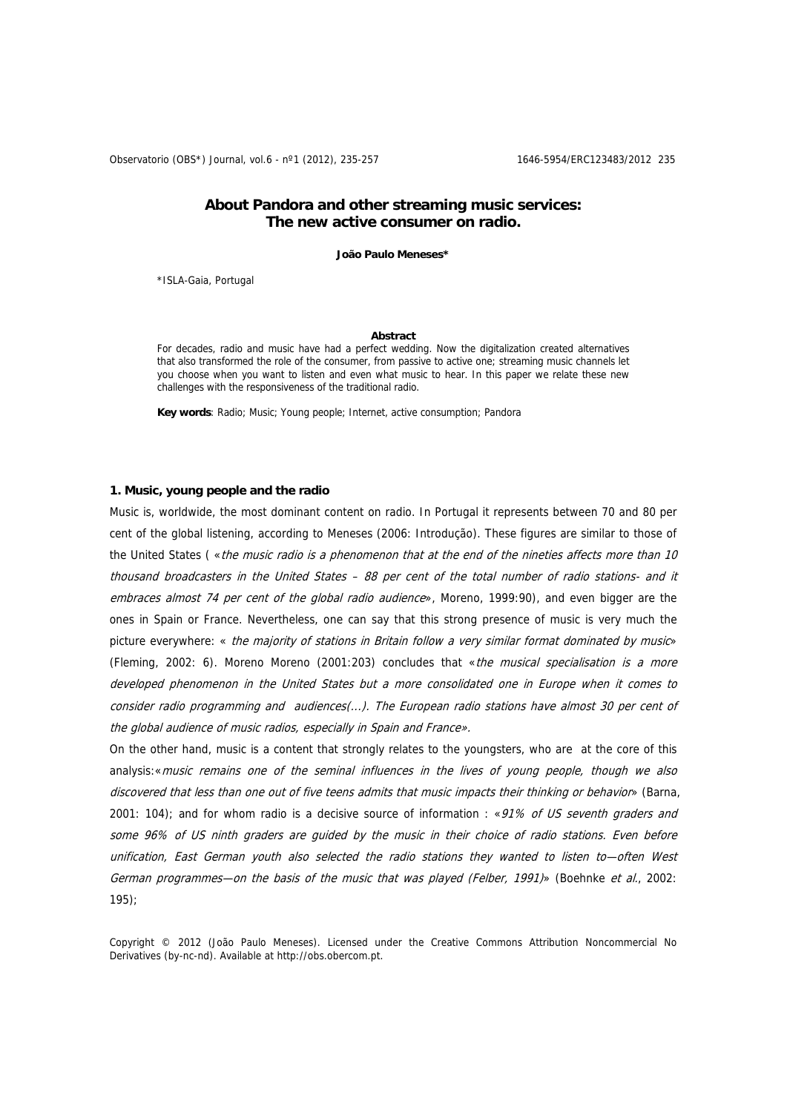Observatorio (OBS\*) Journal, vol.6 - nº1 (2012), 235-257 1646-5954/ERC123483/2012 235

# **About Pandora and other streaming music services: The new active consumer on radio.**

**João Paulo Meneses\*** 

\*ISLA-Gaia, Portugal

#### **Abstract**

For decades, radio and music have had a perfect wedding. Now the digitalization created alternatives that also transformed the role of the consumer, from passive to active one; streaming music channels let you choose when you want to listen and even what music to hear. In this paper we relate these new challenges with the responsiveness of the traditional radio.

**Key words**: Radio; Music; Young people; Internet, active consumption; Pandora

#### **1. Music, young people and the radio**

Music is, worldwide, the most dominant content on radio. In Portugal it represents between 70 and 80 per cent of the global listening, according to Meneses (2006: Introdução). These figures are similar to those of the United States ( $\epsilon$ the music radio is a phenomenon that at the end of the nineties affects more than 10 thousand broadcasters in the United States – 88 per cent of the total number of radio stations- and it embraces almost 74 per cent of the global radio audience», Moreno, 1999:90), and even bigger are the ones in Spain or France. Nevertheless, one can say that this strong presence of music is very much the picture everywhere: « the majority of stations in Britain follow a very similar format dominated by music» (Fleming, 2002: 6). Moreno Moreno (2001:203) concludes that «the musical specialisation is a more developed phenomenon in the United States but a more consolidated one in Europe when it comes to consider radio programming and audiences(...). The European radio stations have almost 30 per cent of the global audience of music radios, especially in Spain and France».

On the other hand, music is a content that strongly relates to the youngsters, who are at the core of this analysis:«music remains one of the seminal influences in the lives of young people, though we also discovered that less than one out of five teens admits that music impacts their thinking or behavior» (Barna, 2001: 104); and for whom radio is a decisive source of information : «91% of US seventh graders and some 96% of US ninth graders are guided by the music in their choice of radio stations. Even before unification, East German youth also selected the radio stations they wanted to listen to—often West German programmes—on the basis of the music that was played (Felber, 1991)» (Boehnke et al., 2002: 195);

Copyright © 2012 (João Paulo Meneses). Licensed under the Creative Commons Attribution Noncommercial No Derivatives (by-nc-nd). Available at http://obs.obercom.pt.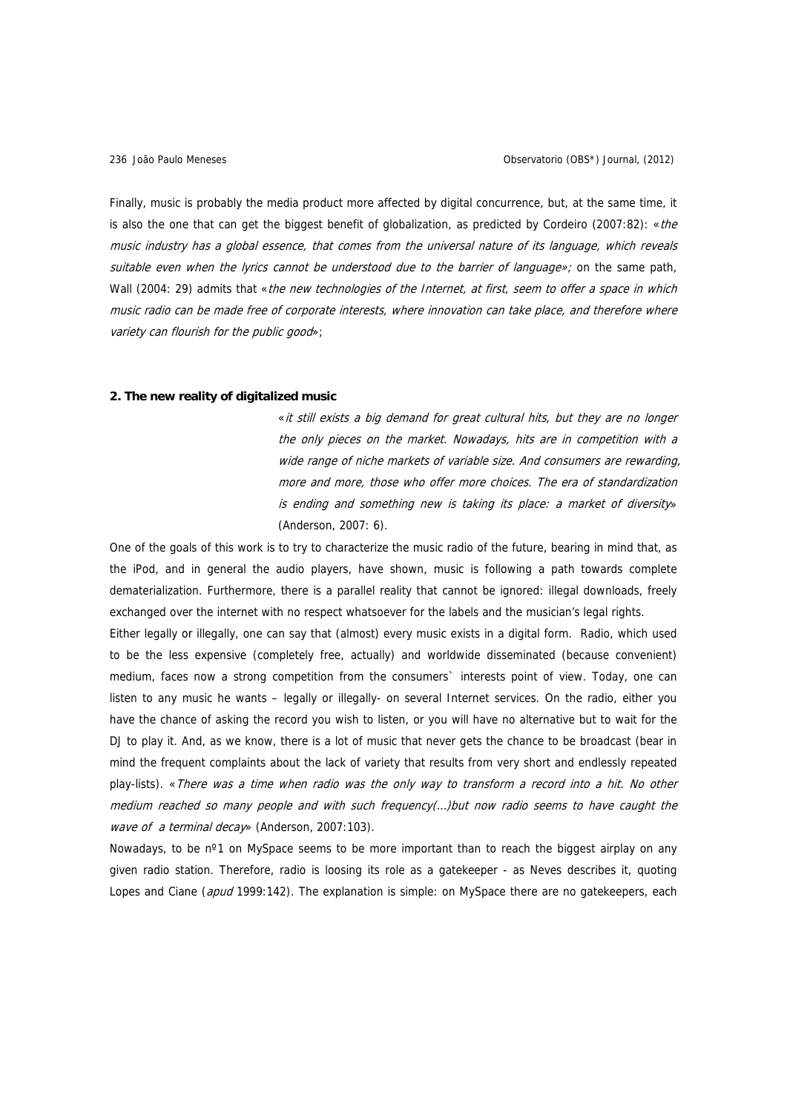Finally, music is probably the media product more affected by digital concurrence, but, at the same time, it is also the one that can get the biggest benefit of globalization, as predicted by Cordeiro (2007:82): «the music industry has a global essence, that comes from the universal nature of its language, which reveals suitable even when the lyrics cannot be understood due to the barrier of language»; on the same path, Wall (2004: 29) admits that «the new technologies of the Internet, at first, seem to offer a space in which music radio can be made free of corporate interests, where innovation can take place, and therefore where variety can flourish for the public good»;

#### **2. The new reality of digitalized music**

«it still exists a big demand for great cultural hits, but they are no longer the only pieces on the market. Nowadays, hits are in competition with a wide range of niche markets of variable size. And consumers are rewarding, more and more, those who offer more choices. The era of standardization is ending and something new is taking its place: a market of diversity» (Anderson, 2007: 6).

One of the goals of this work is to try to characterize the music radio of the future, bearing in mind that, as the iPod, and in general the audio players, have shown, music is following a path towards complete dematerialization. Furthermore, there is a parallel reality that cannot be ignored: illegal downloads, freely exchanged over the internet with no respect whatsoever for the labels and the musician's legal rights.

Either legally or illegally, one can say that (almost) every music exists in a digital form. Radio, which used to be the less expensive (completely free, actually) and worldwide disseminated (because convenient) medium, faces now a strong competition from the consumers` interests point of view. Today, one can listen to any music he wants – legally or illegally- on several Internet services. On the radio, either you have the chance of asking the record you wish to listen, or you will have no alternative but to wait for the DJ to play it. And, as we know, there is a lot of music that never gets the chance to be broadcast (bear in mind the frequent complaints about the lack of variety that results from very short and endlessly repeated play-lists). «There was a time when radio was the only way to transform a record into a hit. No other medium reached so many people and with such frequency(…)but now radio seems to have caught the wave of a terminal decay» (Anderson, 2007:103).

Nowadays, to be n<sup>o</sup>1 on MySpace seems to be more important than to reach the biggest airplay on any given radio station. Therefore, radio is loosing its role as a gatekeeper - as Neves describes it, quoting Lopes and Ciane (apud 1999:142). The explanation is simple: on MySpace there are no gatekeepers, each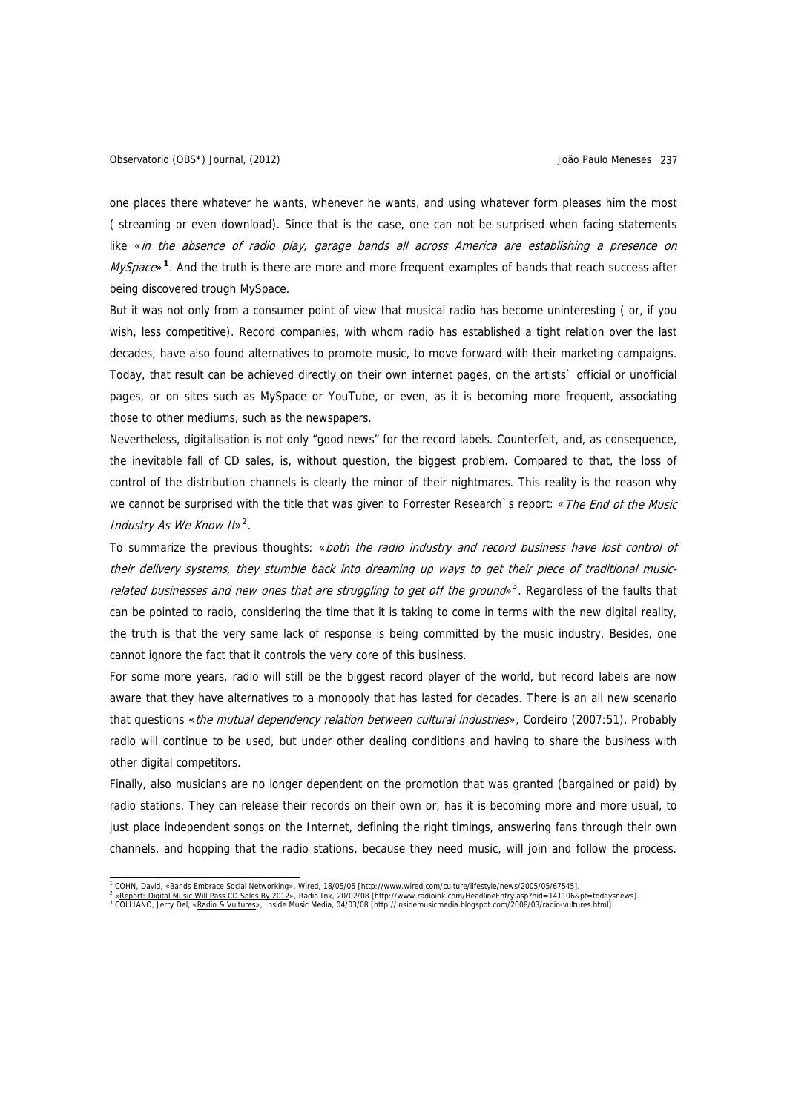one places there whatever he wants, whenever he wants, and using whatever form pleases him the most ( streaming or even download). Since that is the case, one can not be surprised when facing statements like «in the absence of radio play, garage bands all across America are establishing a presence on MySpace»**[1](#page-2-0)**. And the truth is there are more and more frequent examples of bands that reach success after being discovered trough MySpace.

But it was not only from a consumer point of view that musical radio has become uninteresting ( or, if you wish, less competitive). Record companies, with whom radio has established a tight relation over the last decades, have also found alternatives to promote music, to move forward with their marketing campaigns. Today, that result can be achieved directly on their own internet pages, on the artists` official or unofficial pages, or on sites such as MySpace or YouTube, or even, as it is becoming more frequent, associating those to other mediums, such as the newspapers.

Nevertheless, digitalisation is not only "good news" for the record labels. Counterfeit, and, as consequence, the inevitable fall of CD sales, is, without question, the biggest problem. Compared to that, the loss of control of the distribution channels is clearly the minor of their nightmares. This reality is the reason why we cannot be surprised with the title that was given to Forrester Research`s report: «The End of the Music Industry As We Know It  $s^2$  $s^2$ .

To summarize the previous thoughts: «both the radio industry and record business have lost control of their delivery systems, they stumble back into dreaming up ways to get their piece of traditional music-related businesses and new ones that are struggling to get off the ground»<sup>[3](#page-2-2)</sup>. Regardless of the faults that can be pointed to radio, considering the time that it is taking to come in terms with the new digital reality, the truth is that the very same lack of response is being committed by the music industry. Besides, one cannot ignore the fact that it controls the very core of this business.

For some more years, radio will still be the biggest record player of the world, but record labels are now aware that they have alternatives to a monopoly that has lasted for decades. There is an all new scenario that questions «the mutual dependency relation between cultural industries», Cordeiro (2007:51). Probably radio will continue to be used, but under other dealing conditions and having to share the business with other digital competitors.

Finally, also musicians are no longer dependent on the promotion that was granted (bargained or paid) by radio stations. They can release their records on their own or, has it is becoming more and more usual, to just place independent songs on the Internet, defining the right timings, answering fans through their own channels, and hopping that the radio stations, because they need music, will join and follow the process.

<span id="page-2-1"></span><span id="page-2-0"></span>

<sup>1&</sup>lt;br><sup>1</sup> COHN, David, «<u>Bands Embrace Social Networking</u>», Wired, 18/05/05 [http://www.wired.com/culture/lifestyle/news/2005/05/67545].<br><sup>2</sup> «<u>Report: Digital Music Will Pass CD Sales By 2012</u>», Radio Ink, 20/02/08 [http://www

<span id="page-2-2"></span>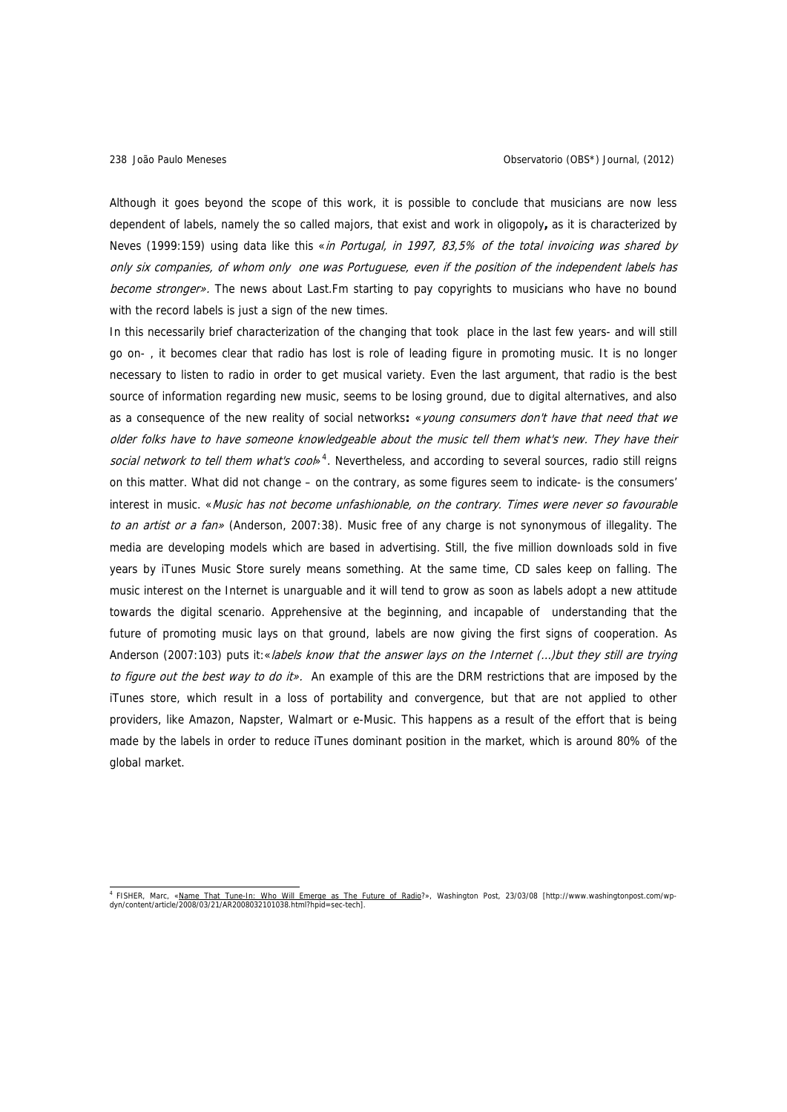Although it goes beyond the scope of this work, it is possible to conclude that musicians are now less dependent of labels, namely the so called majors, that exist and work in oligopoly**,** as it is characterized by Neves (1999:159) using data like this «in Portugal, in 1997, 83,5% of the total invoicing was shared by only six companies, of whom only one was Portuguese, even if the position of the independent labels has become stronger». The news about Last. Fm starting to pay copyrights to musicians who have no bound with the record labels is just a sign of the new times.

In this necessarily brief characterization of the changing that took place in the last few years- and will still go on- , it becomes clear that radio has lost is role of leading figure in promoting music. It is no longer necessary to listen to radio in order to get musical variety. Even the last argument, that radio is the best source of information regarding new music, seems to be losing ground, due to digital alternatives, and also as a consequence of the new reality of social networks**:** «young consumers don't have that need that we older folks have to have someone knowledgeable about the music tell them what's new. They have their social network to tell them what's cool<sup>[4](#page-3-0)</sup>. Nevertheless, and according to several sources, radio still reigns on this matter. What did not change – on the contrary, as some figures seem to indicate- is the consumers' interest in music. «Music has not become unfashionable, on the contrary. Times were never so favourable to an artist or a fan» (Anderson, 2007:38). Music free of any charge is not synonymous of illegality. The media are developing models which are based in advertising. Still, the five million downloads sold in five years by iTunes Music Store surely means something. At the same time, CD sales keep on falling. The music interest on the Internet is unarguable and it will tend to grow as soon as labels adopt a new attitude towards the digital scenario. Apprehensive at the beginning, and incapable of understanding that the future of promoting music lays on that ground, labels are now giving the first signs of cooperation. As Anderson (2007:103) puts it:«labels know that the answer lays on the Internet (...)but they still are trying to figure out the best way to do it». An example of this are the DRM restrictions that are imposed by the iTunes store, which result in a loss of portability and convergence, but that are not applied to other providers, like Amazon, Napster, Walmart or e-Music. This happens as a result of the effort that is being made by the labels in order to reduce iTunes dominant position in the market, which is around 80% of the global market.

<span id="page-3-0"></span>a<br>Hisher, Marc, «<u>Name That Tune-In: Who Will Emerge as The Future of Radio</u>?», Washington Post, 23/03/08 [http://www.washingtonpost.com/wp-<br>dyn/content/article/2008/03/21/AR2008032101038.html?hpid=sec-tech].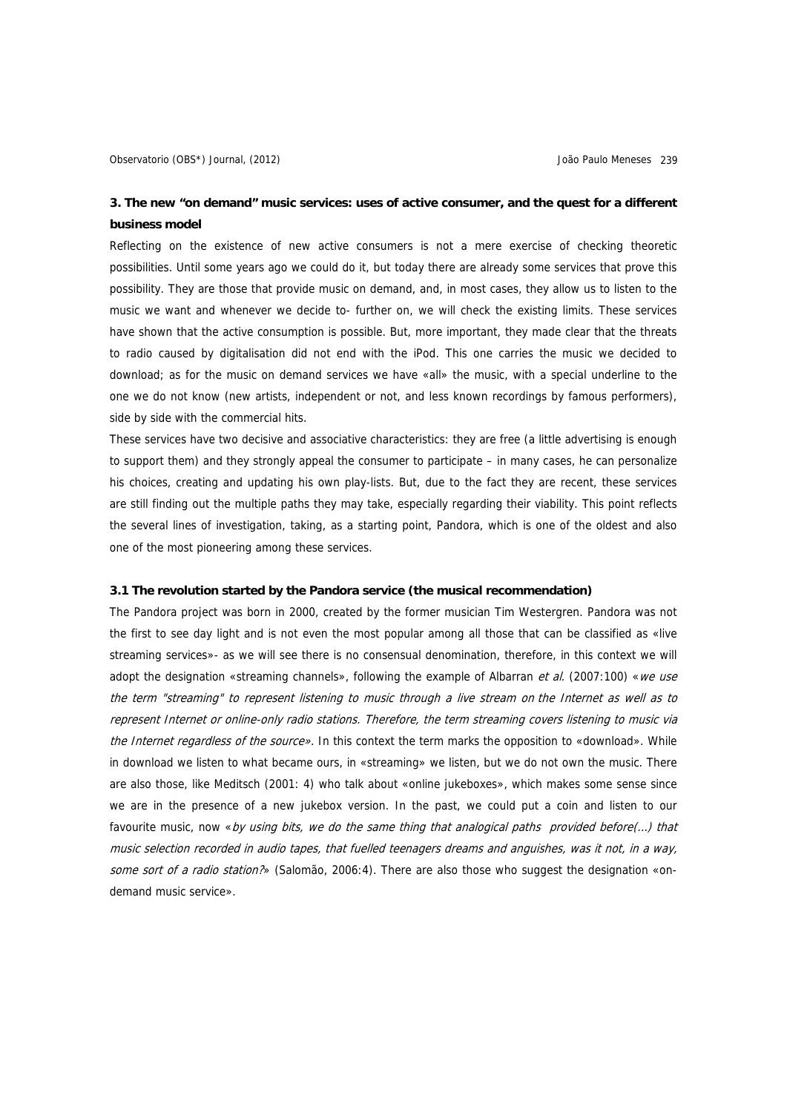# **3. The new "on demand" music services: uses of active consumer, and the quest for a different business model**

Reflecting on the existence of new active consumers is not a mere exercise of checking theoretic possibilities. Until some years ago we could do it, but today there are already some services that prove this possibility. They are those that provide music on demand, and, in most cases, they allow us to listen to the music we want and whenever we decide to- further on, we will check the existing limits. These services have shown that the active consumption is possible. But, more important, they made clear that the threats to radio caused by digitalisation did not end with the iPod. This one carries the music we decided to download; as for the music on demand services we have «all» the music, with a special underline to the one we do not know (new artists, independent or not, and less known recordings by famous performers), side by side with the commercial hits.

These services have two decisive and associative characteristics: they are free (a little advertising is enough to support them) and they strongly appeal the consumer to participate – in many cases, he can personalize his choices, creating and updating his own play-lists. But, due to the fact they are recent, these services are still finding out the multiple paths they may take, especially regarding their viability. This point reflects the several lines of investigation, taking, as a starting point, Pandora, which is one of the oldest and also one of the most pioneering among these services.

### **3.1 The revolution started by the Pandora service (the musical recommendation)**

The Pandora project was born in 2000, created by the former musician Tim Westergren. Pandora was not the first to see day light and is not even the most popular among all those that can be classified as «live streaming services»- as we will see there is no consensual denomination, therefore, in this context we will adopt the designation «streaming channels», following the example of Albarran et al. (2007:100) «we use the term "streaming" to represent listening to music through a live stream on the Internet as well as to represent Internet or online-only radio stations. Therefore, the term streaming covers listening to music via the Internet regardless of the source». In this context the term marks the opposition to «download». While in download we listen to what became ours, in «streaming» we listen, but we do not own the music. There are also those, like Meditsch (2001: 4) who talk about «online jukeboxes», which makes some sense since we are in the presence of a new jukebox version. In the past, we could put a coin and listen to our favourite music, now «by using bits, we do the same thing that analogical paths provided before(...) that music selection recorded in audio tapes, that fuelled teenagers dreams and anguishes, was it not, in a way, some sort of a radio station?» (Salomão, 2006:4). There are also those who suggest the designation «ondemand music service».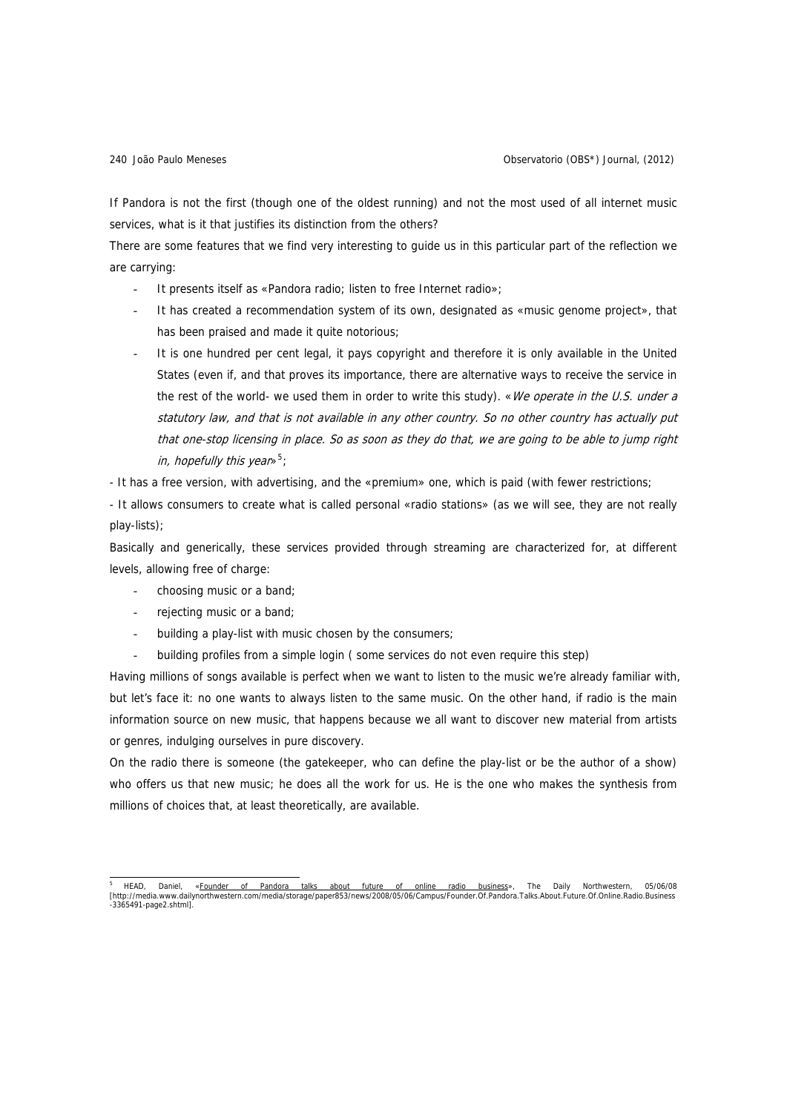If Pandora is not the first (though one of the oldest running) and not the most used of all internet music services, what is it that justifies its distinction from the others?

There are some features that we find very interesting to guide us in this particular part of the reflection we are carrying:

- It presents itself as «Pandora radio; listen to free Internet radio»;
- It has created a recommendation system of its own, designated as «music genome project», that has been praised and made it quite notorious;
- It is one hundred per cent legal, it pays copyright and therefore it is only available in the United States (even if, and that proves its importance, there are alternative ways to receive the service in the rest of the world- we used them in order to write this study). «We operate in the U.S. under a statutory law, and that is not available in any other country. So no other country has actually put that one-stop licensing in place. So as soon as they do that, we are going to be able to jump right in, hopefully this year»<sup>[5](#page-5-0)</sup>;

- It has a free version, with advertising, and the «premium» one, which is paid (with fewer restrictions;

- It allows consumers to create what is called personal «radio stations» (as we will see, they are not really play-lists);

Basically and generically, these services provided through streaming are characterized for, at different levels, allowing free of charge:

- choosing music or a band;
- rejecting music or a band;
- building a play-list with music chosen by the consumers;
- building profiles from a simple login ( some services do not even require this step)

Having millions of songs available is perfect when we want to listen to the music we're already familiar with, but let's face it: no one wants to always listen to the same music. On the other hand, if radio is the main information source on new music, that happens because we all want to discover new material from artists or genres, indulging ourselves in pure discovery.

On the radio there is someone (the gatekeeper, who can define the play-list or be the author of a show) who offers us that new music; he does all the work for us. He is the one who makes the synthesis from millions of choices that, at least theoretically, are available.

<span id="page-5-0"></span><sup>5&</sup>lt;br>THEAD, Daniel, «<u>Founder of Pandora talks about future of online radio business</u>», The Daily Northwestern, 05/06/08<br>[http://media.www.dailynorthwestern.com/media/storage/paper853/news/2008/05/06/Campus/Founder.Of.Pandora -3365491-page2.shtml].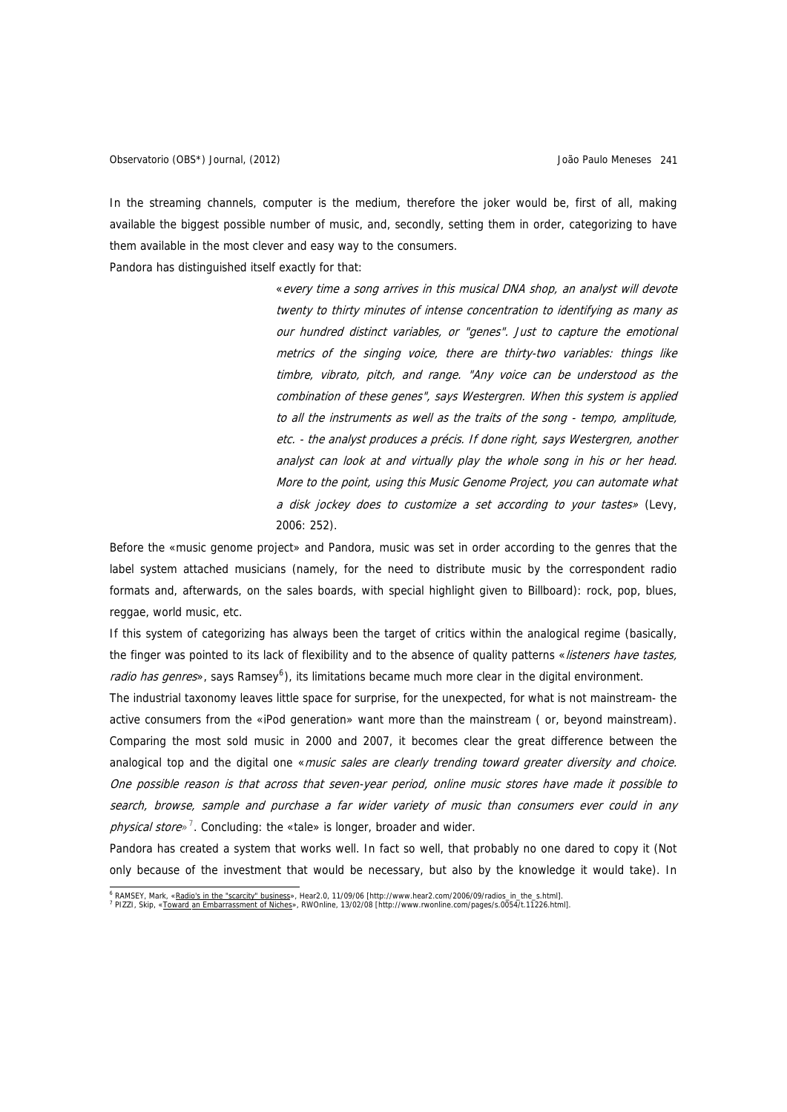In the streaming channels, computer is the medium, therefore the joker would be, first of all, making available the biggest possible number of music, and, secondly, setting them in order, categorizing to have them available in the most clever and easy way to the consumers.

Pandora has distinguished itself exactly for that:

«every time a song arrives in this musical DNA shop, an analyst will devote twenty to thirty minutes of intense concentration to identifying as many as our hundred distinct variables, or "genes". Just to capture the emotional metrics of the singing voice, there are thirty-two variables: things like timbre, vibrato, pitch, and range. "Any voice can be understood as the combination of these genes", says Westergren. When this system is applied to all the instruments as well as the traits of the song - tempo, amplitude, etc. - the analyst produces a précis. If done right, says Westergren, another analyst can look at and virtually play the whole song in his or her head. More to the point, using this Music Genome Project, you can automate what a disk jockey does to customize a set according to your tastes» (Levy, 2006: 252).

Before the «music genome project» and Pandora, music was set in order according to the genres that the label system attached musicians (namely, for the need to distribute music by the correspondent radio formats and, afterwards, on the sales boards, with special highlight given to Billboard): rock, pop, blues, reggae, world music, etc.

If this system of categorizing has always been the target of critics within the analogical regime (basically, the finger was pointed to its lack of flexibility and to the absence of quality patterns «listeners have tastes, radio has genres», says Ramsey<sup>[6](#page-6-0)</sup>), its limitations became much more clear in the digital environment.

The industrial taxonomy leaves little space for surprise, for the unexpected, for what is not mainstream- the active consumers from the «iPod generation» want more than the mainstream ( or, beyond mainstream). Comparing the most sold music in 2000 and 2007, it becomes clear the great difference between the analogical top and the digital one «*music sales are clearly trending toward greater diversity and choice*. One possible reason is that across that seven-year period, online music stores have made it possible to search, browse, sample and purchase a far wider variety of music than consumers ever could in any physical store»<sup>[7](#page-6-1)</sup>. Concluding: the «tale» is longer, broader and wider.

Pandora has created a system that works well. In fact so well, that probably no one dared to copy it (Not only because of the investment that would be necessary, but also by the knowledge it would take). In

e<br>EXAMSEY, Mark, «<u>Radio's in the "scarcity" business</u>», Hear2.0, 11/09/06 [http://www.hear2.com/2006/09/radios\_in\_the\_s.html].<br><sup>7</sup> PLZZL Skip, «Toward an Emberressmont of Nichos», PWOpline, 12/02/08 [http://www.nyopline.c

<span id="page-6-1"></span><span id="page-6-0"></span>PIZZI, Skip, «Toward [an Embarrassment of Niches](http://www.rwonline.com/pages/s.0054/t.11226.html)», RWOnline, 13/02/08 [http://www.rwonline.com/pages/s.0054/t.11226.html].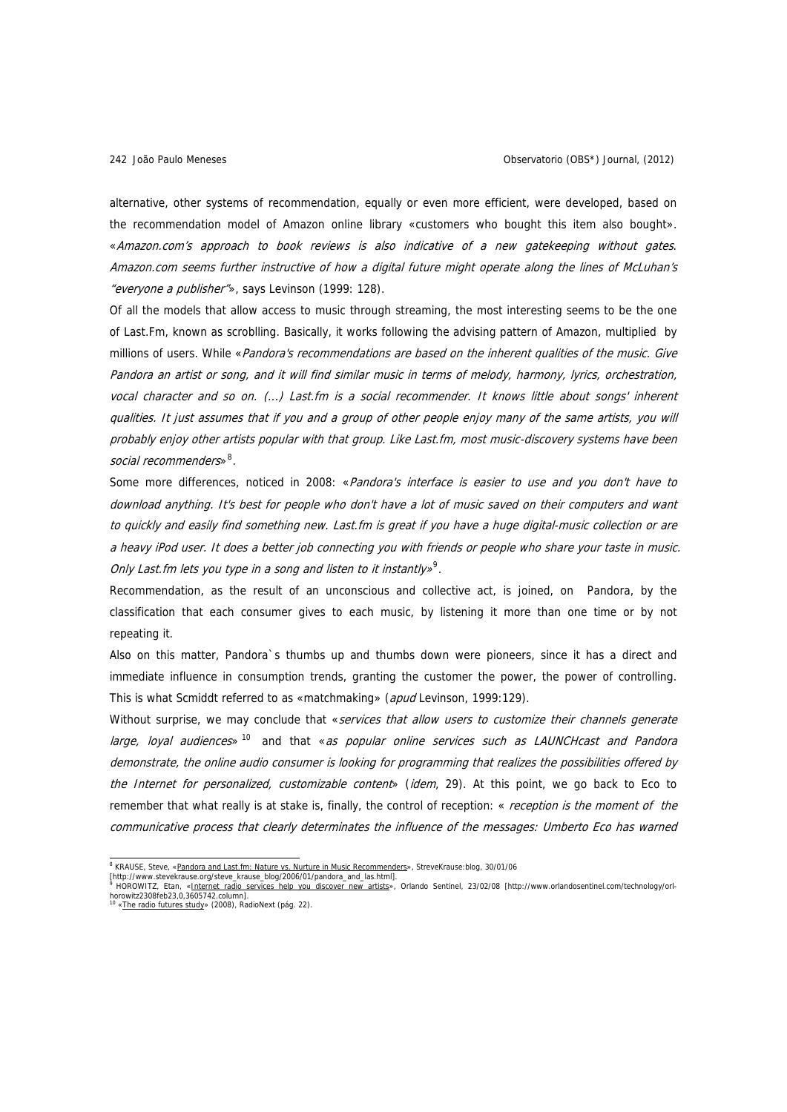alternative, other systems of recommendation, equally or even more efficient, were developed, based on the recommendation model of Amazon online library «customers who bought this item also bought». «Amazon.com's approach to book reviews is also indicative of a new gatekeeping without gates. Amazon.com seems further instructive of how a digital future might operate along the lines of McLuhan's "everyone a publisher"», says Levinson (1999: 128).

Of all the models that allow access to music through streaming, the most interesting seems to be the one of Last.Fm, known as scroblling. Basically, it works following the advising pattern of Amazon, multiplied by millions of users. While «Pandora's recommendations are based on the inherent qualities of the music. Give Pandora an artist or song, and it will find similar music in terms of melody, harmony, lyrics, orchestration, vocal character and so on. (...) Last.fm is a social recommender. It knows little about songs' inherent qualities. It just assumes that if you and a group of other people enjoy many of the same artists, you will probably enjoy other artists popular with that group. Like Last.fm, most music-discovery systems have been social recommenders»<sup>[8](#page-7-0)</sup>.

Some more differences, noticed in 2008: «Pandora's interface is easier to use and you don't have to download anything. It's best for people who don't have a lot of music saved on their computers and want to quickly and easily find something new. Last.fm is great if you have a huge digital-music collection or are a heavy iPod user. It does a better job connecting you with friends or people who share your taste in music. Only Last.fm lets you type in a song and listen to it instantly»<sup>[9](#page-7-1)</sup>.

Recommendation, as the result of an unconscious and collective act, is joined, on Pandora, by the classification that each consumer gives to each music, by listening it more than one time or by not repeating it.

Also on this matter, Pandora`s thumbs up and thumbs down were pioneers, since it has a direct and immediate influence in consumption trends, granting the customer the power, the power of controlling. This is what Scmiddt referred to as «matchmaking» (apud Levinson, 1999:129).

Without surprise, we may conclude that «services that allow users to customize their channels generate large, loyal audiences» <sup>[10](#page-7-2)</sup> and that «as popular online services such as LAUNCHcast and Pandora demonstrate, the online audio consumer is looking for programming that realizes the possibilities offered by the Internet for personalized, customizable content» (idem, 29). At this point, we go back to Eco to remember that what really is at stake is, finally, the control of reception: « reception is the moment of the communicative process that clearly determinates the influence of the messages: Umberto Eco has warned

<sup>&</sup>lt;sup>8</sup> KRAUSE, Steve, [«Pandora and Last.fm: Nature vs. Nurture in Music Recommenders»](http://www.stevekrause.org/steve_krause_blog/2006/01/pandora_and_las.html), StreveKrause:blog, 30/01/06

<span id="page-7-1"></span><span id="page-7-0"></span><sup>[</sup>http://www.stevekrause.org/steve\_krause\_blog/2006/01/pandora\_and\_las.html]. <sup>9</sup> HOROWITZ, Etan, «<u>Internet radio services help you discover new artists</u>», Orlando Sentinel, 23/02/08 [http://www.orlandosentinel.com/technology/orl-<br>horowitz2308feb23,0,3605742.column].<br><sup>10</sup> «<u>The radio futures study</u>

<span id="page-7-2"></span>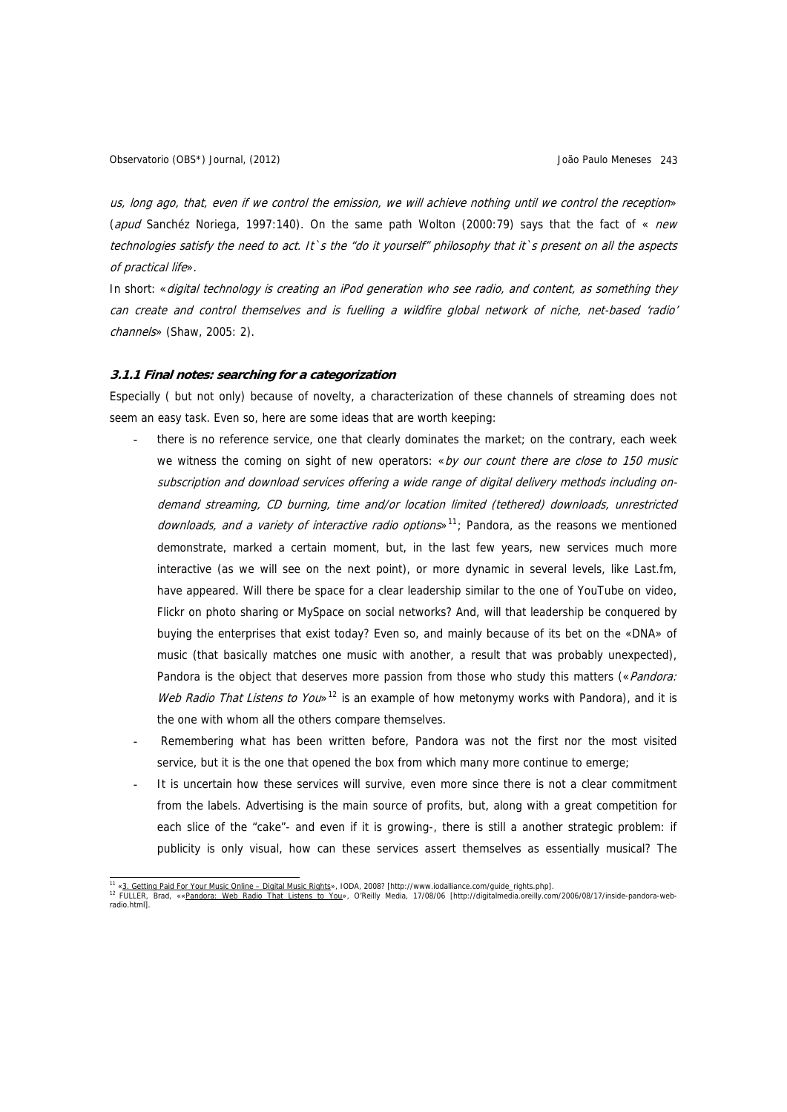us, long ago, that, even if we control the emission, we will achieve nothing until we control the reception» (apud Sanchéz Noriega, 1997:140). On the same path Wolton (2000:79) says that the fact of « new technologies satisfy the need to act. It`s the "do it yourself" philosophy that it`s present on all the aspects of practical life».

In short: «digital technology is creating an iPod generation who see radio, and content, as something they can create and control themselves and is fuelling a wildfire global network of niche, net-based 'radio' channels» (Shaw, 2005: 2).

#### **3.1.1 Final notes: searching for a categorization**

Especially ( but not only) because of novelty, a characterization of these channels of streaming does not seem an easy task. Even so, here are some ideas that are worth keeping:

- there is no reference service, one that clearly dominates the market; on the contrary, each week we witness the coming on sight of new operators: «by our count there are close to 150 music subscription and download services offering a wide range of digital delivery methods including ondemand streaming, CD burning, time and/or location limited (tethered) downloads, unrestricted downloads, and a variety of interactive radio options»<sup>[11](#page-8-0)</sup>; Pandora, as the reasons we mentioned demonstrate, marked a certain moment, but, in the last few years, new services much more interactive (as we will see on the next point), or more dynamic in several levels, like Last.fm, have appeared. Will there be space for a clear leadership similar to the one of YouTube on video, Flickr on photo sharing or MySpace on social networks? And, will that leadership be conquered by buying the enterprises that exist today? Even so, and mainly because of its bet on the «DNA» of music (that basically matches one music with another, a result that was probably unexpected), Pandora is the object that deserves more passion from those who study this matters («Pandora: Web Radio That Listens to You»<sup>[12](#page-8-1)</sup> is an example of how metonymy works with Pandora), and it is the one with whom all the others compare themselves.
- Remembering what has been written before, Pandora was not the first nor the most visited service, but it is the one that opened the box from which many more continue to emerge;
- It is uncertain how these services will survive, even more since there is not a clear commitment from the labels. Advertising is the main source of profits, but, along with a great competition for each slice of the "cake"- and even if it is growing-, there is still a another strategic problem: if publicity is only visual, how can these services assert themselves as essentially musical? The

<span id="page-8-1"></span><span id="page-8-0"></span><sup>11&</sup>lt;br>11 «<u>[3. Getting Paid For Your Music Online – Digital Music Rights](http://www.iodalliance.com/guide_rights.php)</u>[», I](http://digitalmedia.oreilly.com/2006/08/17/inside-pandora-web-radio.html)ODA, 2008? [http://www.iodalliance.com/guide\_rights.php].<br><sup>12</sup> FULLER, Brad, ««[Pandora: Web Radio That Listens to You](http://digitalmedia.oreilly.com/2006/08/17/inside-pandora-web-radio.html)», O'Reilly Media, 17/08/06 [htt radio.html].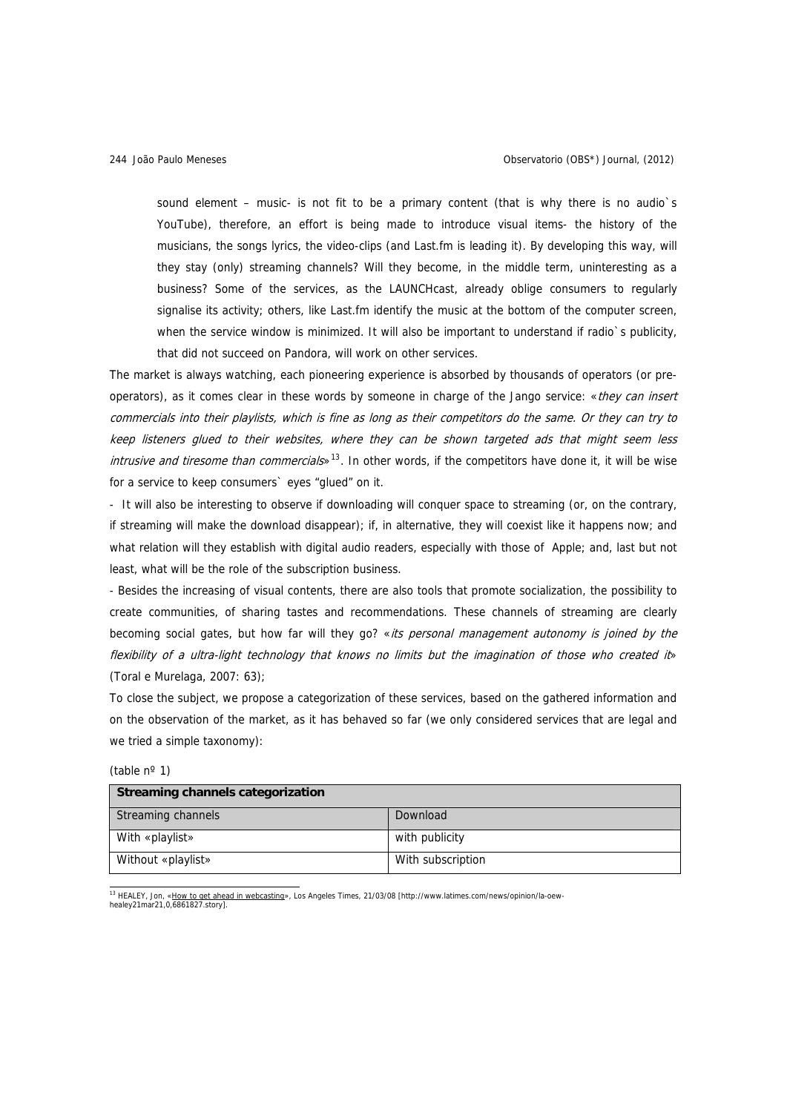sound element – music- is not fit to be a primary content (that is why there is no audio's YouTube), therefore, an effort is being made to introduce visual items- the history of the musicians, the songs lyrics, the video-clips (and Last.fm is leading it). By developing this way, will they stay (only) streaming channels? Will they become, in the middle term, uninteresting as a business? Some of the services, as the LAUNCHcast, already oblige consumers to regularly signalise its activity; others, like Last.fm identify the music at the bottom of the computer screen, when the service window is minimized. It will also be important to understand if radio's publicity, that did not succeed on Pandora, will work on other services.

The market is always watching, each pioneering experience is absorbed by thousands of operators (or preoperators), as it comes clear in these words by someone in charge of the Jango service: «they can insert commercials into their playlists, which is fine as long as their competitors do the same. Or they can try to keep listeners glued to their websites, where they can be shown targeted ads that might seem less *intrusive and tiresome than commercials* $^{13}$  $^{13}$  $^{13}$ . In other words, if the competitors have done it, it will be wise for a service to keep consumers` eyes "glued" on it.

- It will also be interesting to observe if downloading will conquer space to streaming (or, on the contrary, if streaming will make the download disappear); if, in alternative, they will coexist like it happens now; and what relation will they establish with digital audio readers, especially with those of Apple; and, last but not least, what will be the role of the subscription business.

- Besides the increasing of visual contents, there are also tools that promote socialization, the possibility to create communities, of sharing tastes and recommendations. These channels of streaming are clearly becoming social gates, but how far will they go? «its personal management autonomy is joined by the flexibility of a ultra-light technology that knows no limits but the imagination of those who created it» (Toral e Murelaga, 2007: 63);

To close the subject, we propose a categorization of these services, based on the gathered information and on the observation of the market, as it has behaved so far (we only considered services that are legal and we tried a simple taxonomy):

| <b>Streaming channels categorization</b> |                   |
|------------------------------------------|-------------------|
| Streaming channels                       | Download          |
| With «playlist»                          | with publicity    |
| Without «playlist»                       | With subscription |

(table nº 1)

<span id="page-9-0"></span>1<sup>3</sup> HEALEY, Jon, «<u>How to get ahead in webcasting</u>», Los Angeles Times, 21/03/08 [http://www.latimes.com/news/opinion/la-oew-<br>healey21mar21,0,6861827.story].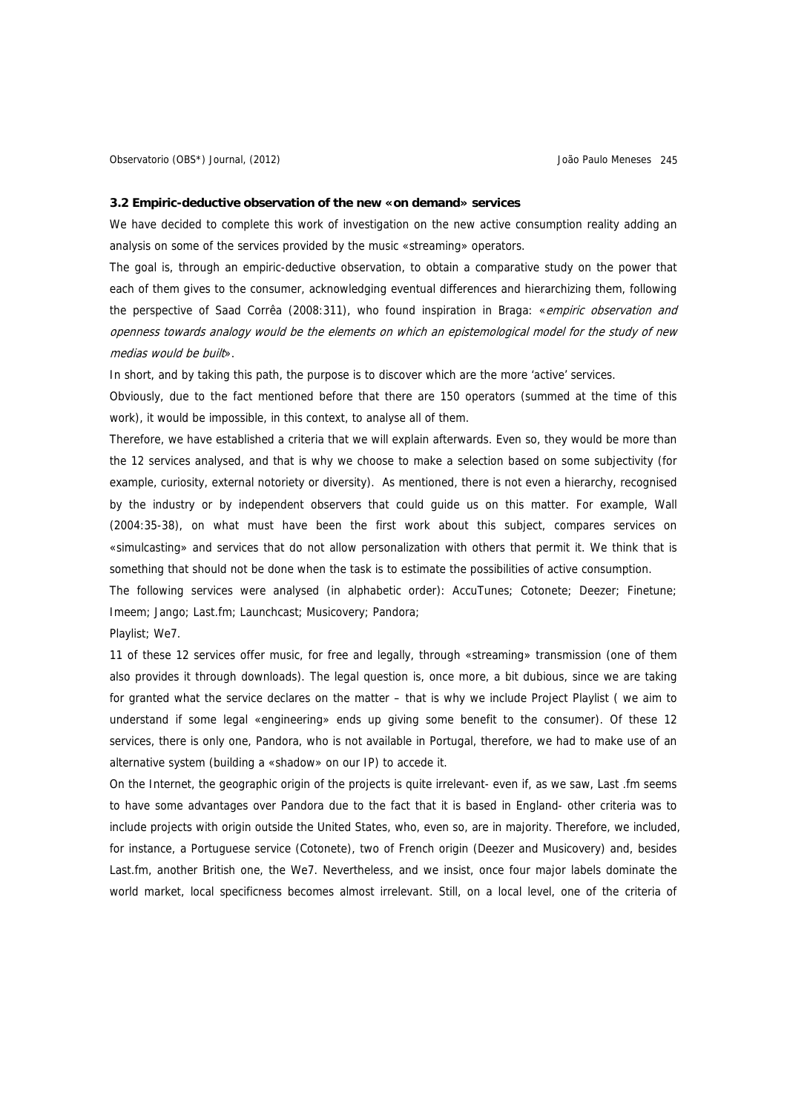#### **3.2 Empiric-deductive observation of the new «on demand» services**

We have decided to complete this work of investigation on the new active consumption reality adding an analysis on some of the services provided by the music «streaming» operators.

The goal is, through an empiric-deductive observation, to obtain a comparative study on the power that each of them gives to the consumer, acknowledging eventual differences and hierarchizing them, following the perspective of Saad Corrêa (2008:311), who found inspiration in Braga: «empiric observation and openness towards analogy would be the elements on which an epistemological model for the study of new medias would be built».

In short, and by taking this path, the purpose is to discover which are the more 'active' services.

Obviously, due to the fact mentioned before that there are 150 operators (summed at the time of this work), it would be impossible, in this context, to analyse all of them.

Therefore, we have established a criteria that we will explain afterwards. Even so, they would be more than the 12 services analysed, and that is why we choose to make a selection based on some subjectivity (for example, curiosity, external notoriety or diversity). As mentioned, there is not even a hierarchy, recognised by the industry or by independent observers that could guide us on this matter. For example, Wall (2004:35-38), on what must have been the first work about this subject, compares services on «simulcasting» and services that do not allow personalization with others that permit it. We think that is something that should not be done when the task is to estimate the possibilities of active consumption.

The following services were analysed (in alphabetic order): AccuTunes; Cotonete; Deezer; Finetune; Imeem; Jango; Last.fm; Launchcast; Musicovery; Pandora;

Playlist; We7.

11 of these 12 services offer music, for free and legally, through «streaming» transmission (one of them also provides it through downloads). The legal question is, once more, a bit dubious, since we are taking for granted what the service declares on the matter – that is why we include Project Playlist ( we aim to understand if some legal «engineering» ends up giving some benefit to the consumer). Of these 12 services, there is only one, Pandora, who is not available in Portugal, therefore, we had to make use of an alternative system (building a «shadow» on our IP) to accede it.

On the Internet, the geographic origin of the projects is quite irrelevant- even if, as we saw, Last .fm seems to have some advantages over Pandora due to the fact that it is based in England- other criteria was to include projects with origin outside the United States, who, even so, are in majority. Therefore, we included, for instance, a Portuguese service (Cotonete), two of French origin (Deezer and Musicovery) and, besides Last.fm, another British one, the We7. Nevertheless, and we insist, once four major labels dominate the world market, local specificness becomes almost irrelevant. Still, on a local level, one of the criteria of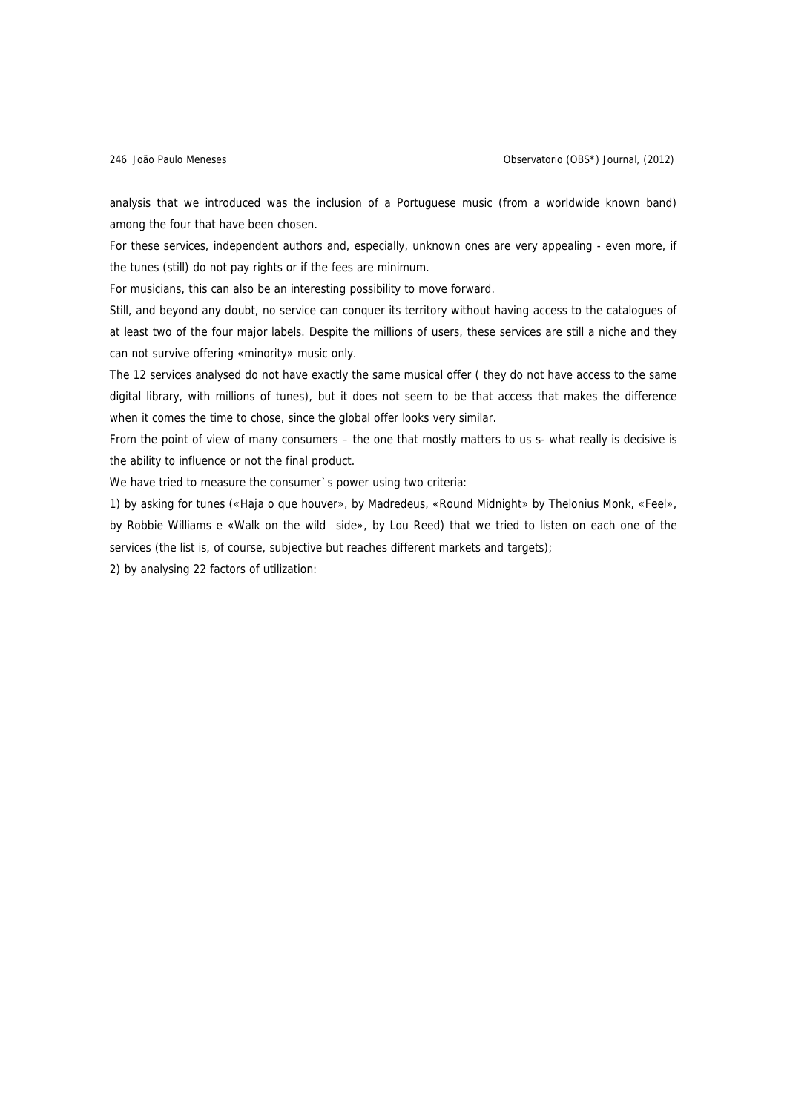analysis that we introduced was the inclusion of a Portuguese music (from a worldwide known band) among the four that have been chosen.

For these services, independent authors and, especially, unknown ones are very appealing - even more, if the tunes (still) do not pay rights or if the fees are minimum.

For musicians, this can also be an interesting possibility to move forward.

Still, and beyond any doubt, no service can conquer its territory without having access to the catalogues of at least two of the four major labels. Despite the millions of users, these services are still a niche and they can not survive offering «minority» music only.

The 12 services analysed do not have exactly the same musical offer ( they do not have access to the same digital library, with millions of tunes), but it does not seem to be that access that makes the difference when it comes the time to chose, since the global offer looks very similar.

From the point of view of many consumers – the one that mostly matters to us s- what really is decisive is the ability to influence or not the final product.

We have tried to measure the consumer`s power using two criteria:

1) by asking for tunes («Haja o que houver», by Madredeus, «Round Midnight» by Thelonius Monk, «Feel», by Robbie Williams e «Walk on the wild side», by Lou Reed) that we tried to listen on each one of the services (the list is, of course, subjective but reaches different markets and targets);

2) by analysing 22 factors of utilization: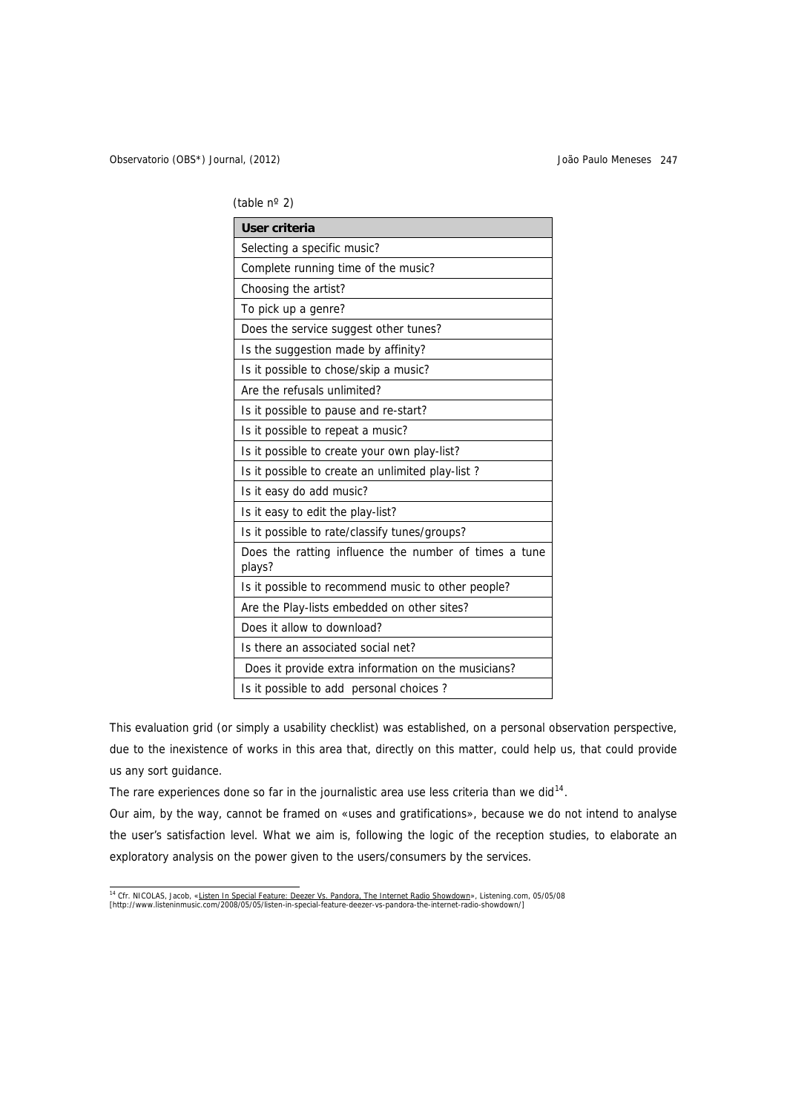(table nº 2)

| User criteria                                                   |  |
|-----------------------------------------------------------------|--|
| Selecting a specific music?                                     |  |
| Complete running time of the music?                             |  |
| Choosing the artist?                                            |  |
| To pick up a genre?                                             |  |
| Does the service suggest other tunes?                           |  |
| Is the suggestion made by affinity?                             |  |
| Is it possible to chose/skip a music?                           |  |
| Are the refusals unlimited?                                     |  |
| Is it possible to pause and re-start?                           |  |
| Is it possible to repeat a music?                               |  |
| Is it possible to create your own play-list?                    |  |
| Is it possible to create an unlimited play-list?                |  |
| Is it easy do add music?                                        |  |
| Is it easy to edit the play-list?                               |  |
| Is it possible to rate/classify tunes/groups?                   |  |
| Does the ratting influence the number of times a tune<br>plays? |  |
| Is it possible to recommend music to other people?              |  |
| Are the Play-lists embedded on other sites?                     |  |
| Does it allow to download?                                      |  |
| Is there an associated social net?                              |  |
| Does it provide extra information on the musicians?             |  |
| Is it possible to add personal choices?                         |  |

This evaluation grid (or simply a usability checklist) was established, on a personal observation perspective, due to the inexistence of works in this area that, directly on this matter, could help us, that could provide us any sort guidance.

The rare experiences done so far in the journalistic area use less criteria than we did $14$ .

Our aim, by the way, cannot be framed on «uses and gratifications», because we do not intend to analyse the user's satisfaction level. What we aim is, following the logic of the reception studies, to elaborate an exploratory analysis on the power given to the users/consumers by the services.

<span id="page-12-0"></span><sup>&</sup>lt;sup>14</sup> Cfr. NICOLAS, Jacob, «<u>Listen In Special Feature: Deezer Vs. Pandora, The Internet Radio Showdown</u>», Listening.com, 05/05/08<br>[http://www.listeninmusic.com/2008/05/05/listen-in-special-feature-deezer-vs-pandora-the-int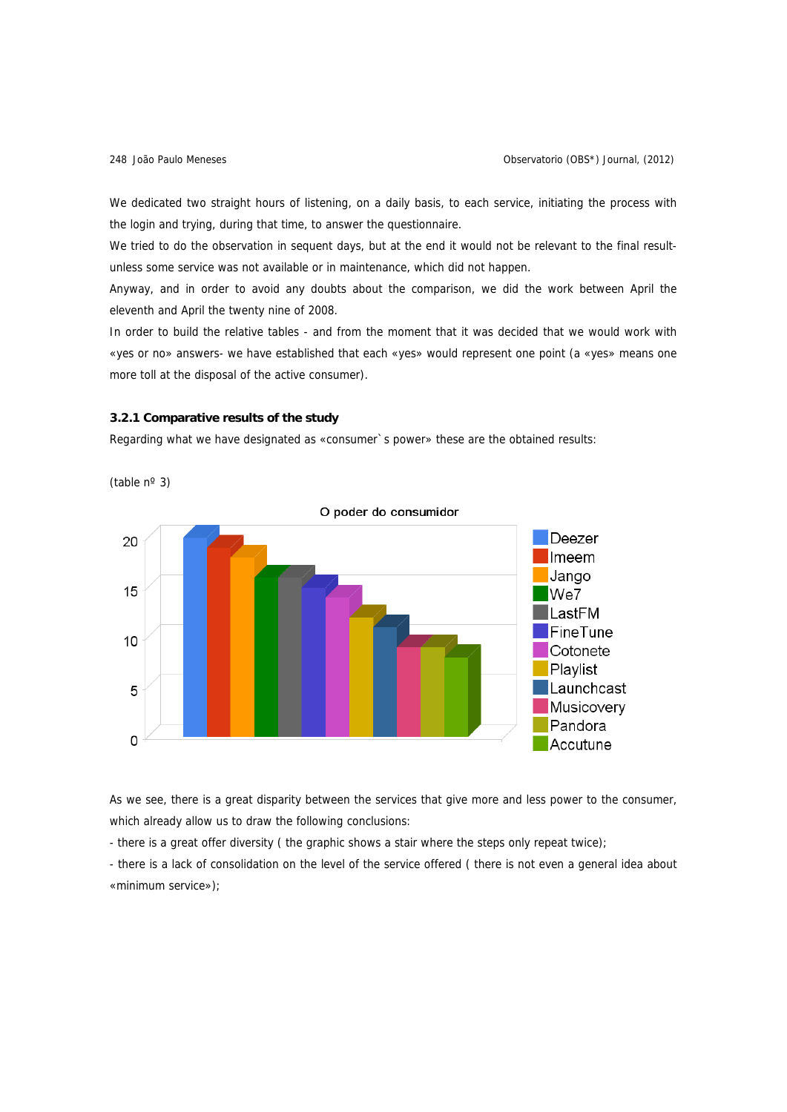We dedicated two straight hours of listening, on a daily basis, to each service, initiating the process with the login and trying, during that time, to answer the questionnaire.

We tried to do the observation in sequent days, but at the end it would not be relevant to the final resultunless some service was not available or in maintenance, which did not happen.

Anyway, and in order to avoid any doubts about the comparison, we did the work between April the eleventh and April the twenty nine of 2008.

In order to build the relative tables - and from the moment that it was decided that we would work with «yes or no» answers- we have established that each «yes» would represent one point (a «yes» means one more toll at the disposal of the active consumer).

#### **3.2.1 Comparative results of the study**

Regarding what we have designated as «consumer`s power» these are the obtained results:

(table nº 3)



As we see, there is a great disparity between the services that give more and less power to the consumer, which already allow us to draw the following conclusions:

- there is a great offer diversity ( the graphic shows a stair where the steps only repeat twice);

- there is a lack of consolidation on the level of the service offered ( there is not even a general idea about «minimum service»);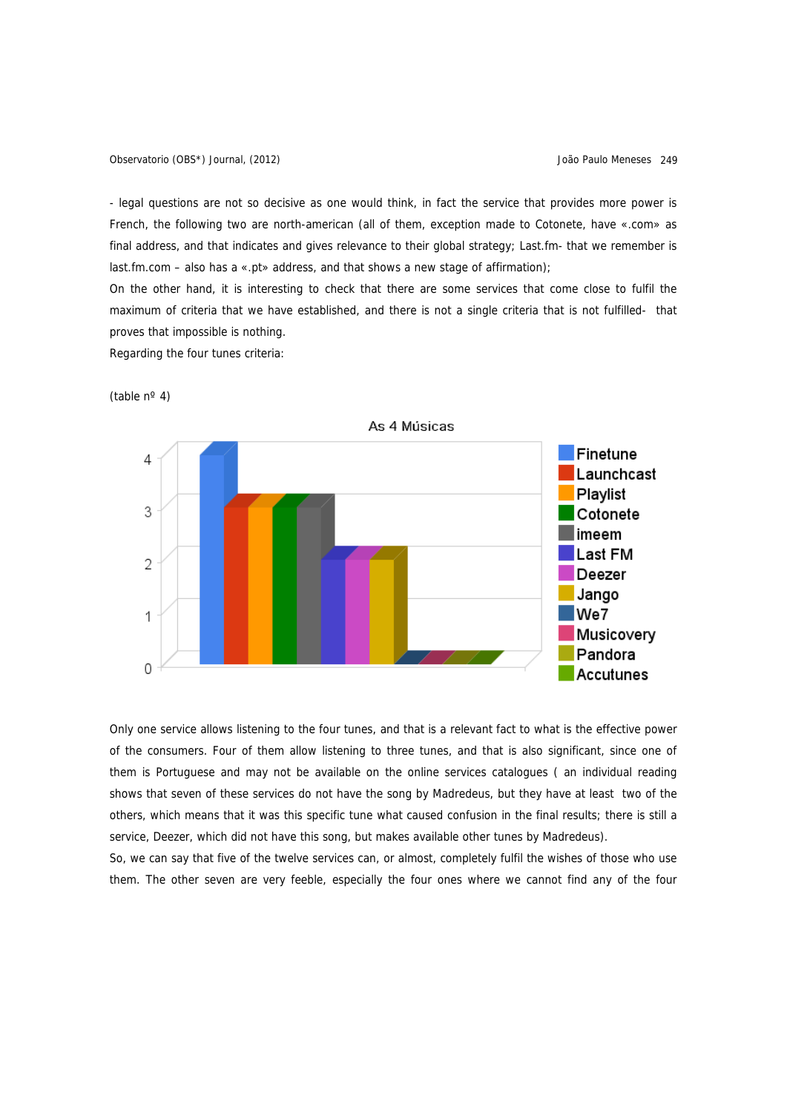Observatorio (OBS\*) Journal, (2012) João Paulo Meneses 249

- legal questions are not so decisive as one would think, in fact the service that provides more power is French, the following two are north-american (all of them, exception made to Cotonete, have «.com» as final address, and that indicates and gives relevance to their global strategy; Last.fm- that we remember is last.fm.com – also has a «.pt» address, and that shows a new stage of affirmation);

On the other hand, it is interesting to check that there are some services that come close to fulfil the maximum of criteria that we have established, and there is not a single criteria that is not fulfilled- that proves that impossible is nothing.

Regarding the four tunes criteria:



(table  $n^{\circ}$  4)

Only one service allows listening to the four tunes, and that is a relevant fact to what is the effective power of the consumers. Four of them allow listening to three tunes, and that is also significant, since one of them is Portuguese and may not be available on the online services catalogues ( an individual reading shows that seven of these services do not have the song by Madredeus, but they have at least two of the others, which means that it was this specific tune what caused confusion in the final results; there is still a service, Deezer, which did not have this song, but makes available other tunes by Madredeus).

So, we can say that five of the twelve services can, or almost, completely fulfil the wishes of those who use them. The other seven are very feeble, especially the four ones where we cannot find any of the four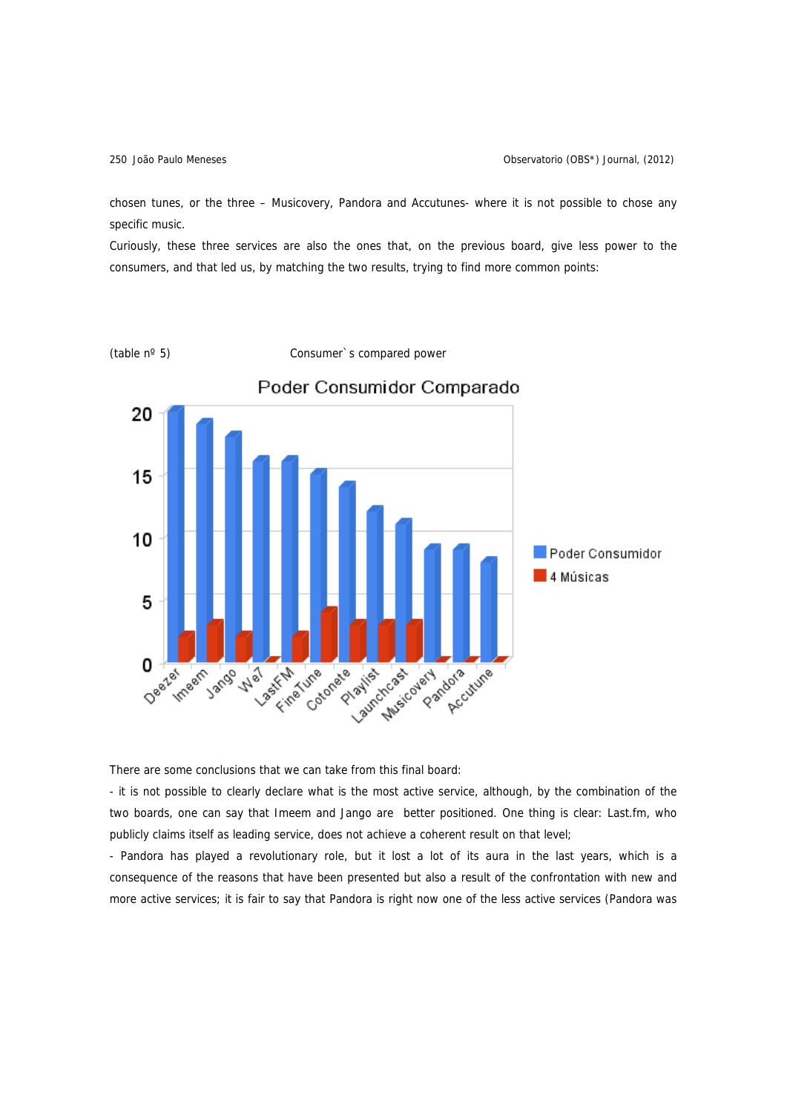chosen tunes, or the three – Musicovery, Pandora and Accutunes- where it is not possible to chose any specific music.

Curiously, these three services are also the ones that, on the previous board, give less power to the consumers, and that led us, by matching the two results, trying to find more common points:



There are some conclusions that we can take from this final board:

- it is not possible to clearly declare what is the most active service, although, by the combination of the two boards, one can say that Imeem and Jango are better positioned. One thing is clear: Last.fm, who publicly claims itself as leading service, does not achieve a coherent result on that level;

- Pandora has played a revolutionary role, but it lost a lot of its aura in the last years, which is a consequence of the reasons that have been presented but also a result of the confrontation with new and more active services; it is fair to say that Pandora is right now one of the less active services (Pandora was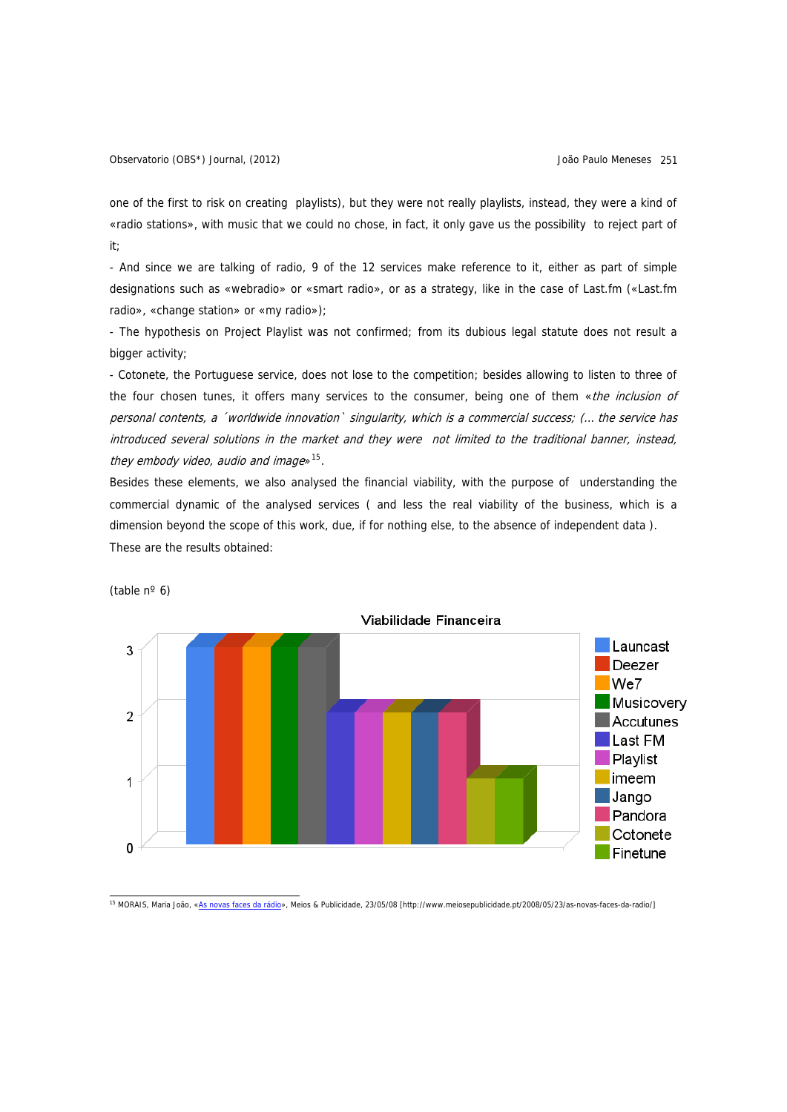Observatorio (OBS\*) Journal, (2012) João Paulo Meneses 251

one of the first to risk on creating playlists), but they were not really playlists, instead, they were a kind of «radio stations», with music that we could no chose, in fact, it only gave us the possibility to reject part of it;

- And since we are talking of radio, 9 of the 12 services make reference to it, either as part of simple designations such as «webradio» or «smart radio», or as a strategy, like in the case of Last.fm («Last.fm radio», «change station» or «my radio»);

- The hypothesis on Project Playlist was not confirmed; from its dubious legal statute does not result a bigger activity;

- Cotonete, the Portuguese service, does not lose to the competition; besides allowing to listen to three of the four chosen tunes, it offers many services to the consumer, being one of them «the inclusion of personal contents, a ´worldwide innovation` singularity, which is a commercial success; (… the service has introduced several solutions in the market and they were not limited to the traditional banner, instead, they embody video, audio and image $*$ <sup>[15](#page-16-0)</sup>.

Besides these elements, we also analysed the financial viability, with the purpose of understanding the commercial dynamic of the analysed services ( and less the real viability of the business, which is a dimension beyond the scope of this work, due, if for nothing else, to the absence of independent data ). These are the results obtained:



(table  $n^{\circ}$  6)

<span id="page-16-0"></span>15 MORAIS, Maria João, [«As novas faces da rádio»](http://www.meiosepublicidade.pt/2008/05/23/as-novas-faces-da-radio/), Meios & Publicidade, 23/05/08 [http://www.meiosepublicidade.pt/2008/05/23/as-novas-faces-da-radio/]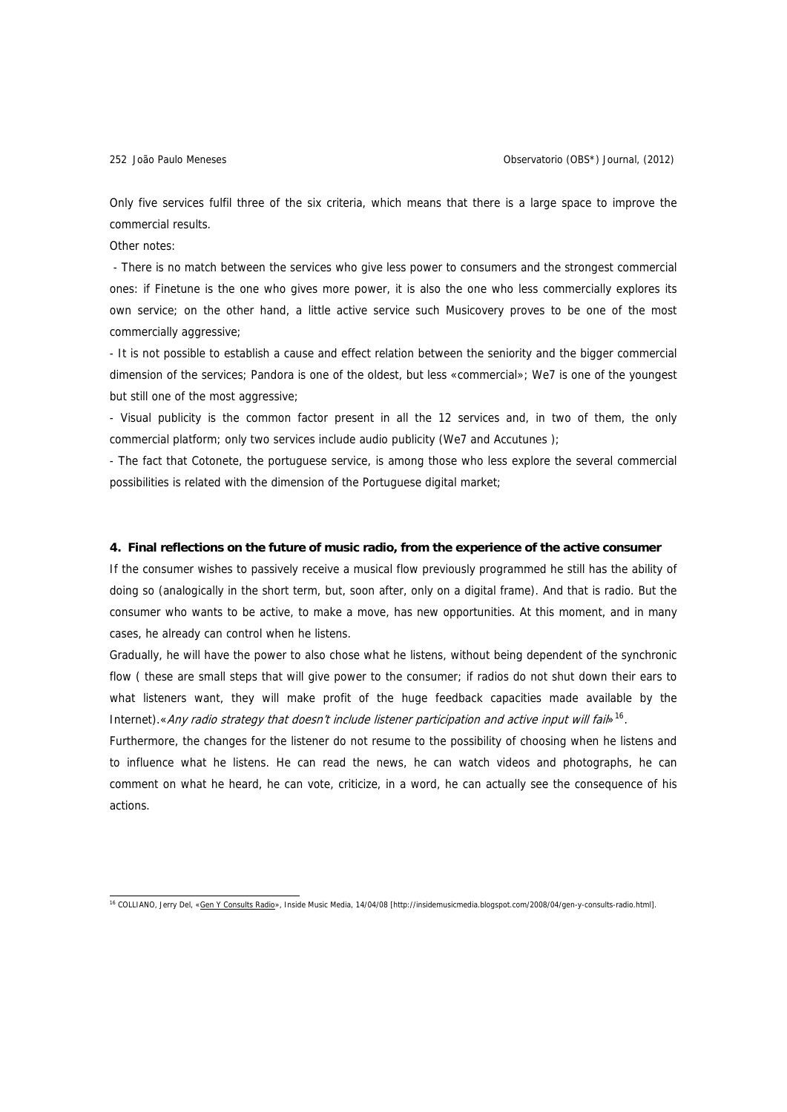Only five services fulfil three of the six criteria, which means that there is a large space to improve the commercial results.

Other notes:

 - There is no match between the services who give less power to consumers and the strongest commercial ones: if Finetune is the one who gives more power, it is also the one who less commercially explores its own service; on the other hand, a little active service such Musicovery proves to be one of the most commercially aggressive;

- It is not possible to establish a cause and effect relation between the seniority and the bigger commercial dimension of the services; Pandora is one of the oldest, but less «commercial»; We7 is one of the youngest but still one of the most aggressive;

- Visual publicity is the common factor present in all the 12 services and, in two of them, the only commercial platform; only two services include audio publicity (We7 and Accutunes );

- The fact that Cotonete, the portuguese service, is among those who less explore the several commercial possibilities is related with the dimension of the Portuguese digital market;

#### **4. Final reflections on the future of music radio, from the experience of the active consumer**

If the consumer wishes to passively receive a musical flow previously programmed he still has the ability of doing so (analogically in the short term, but, soon after, only on a digital frame). And that is radio. But the consumer who wants to be active, to make a move, has new opportunities. At this moment, and in many cases, he already can control when he listens.

Gradually, he will have the power to also chose what he listens, without being dependent of the synchronic flow ( these are small steps that will give power to the consumer; if radios do not shut down their ears to what listeners want, they will make profit of the huge feedback capacities made available by the Internet).«Any radio strategy that doesn't include listener participation and active input will fails<sup>[16](#page-17-0)</sup>.

Furthermore, the changes for the listener do not resume to the possibility of choosing when he listens and to influence what he listens. He can read the news, he can watch videos and photographs, he can comment on what he heard, he can vote, criticize, in a word, he can actually see the consequence of his actions.

<span id="page-17-0"></span> 16 COLLIANO, Jerry Del, [«Gen Y Consults Radio](http://insidemusicmedia.blogspot.com/2008/04/gen-y-consults-radio.html)», Inside Music Media, 14/04/08 [http://insidemusicmedia.blogspot.com/2008/04/gen-y-consults-radio.html].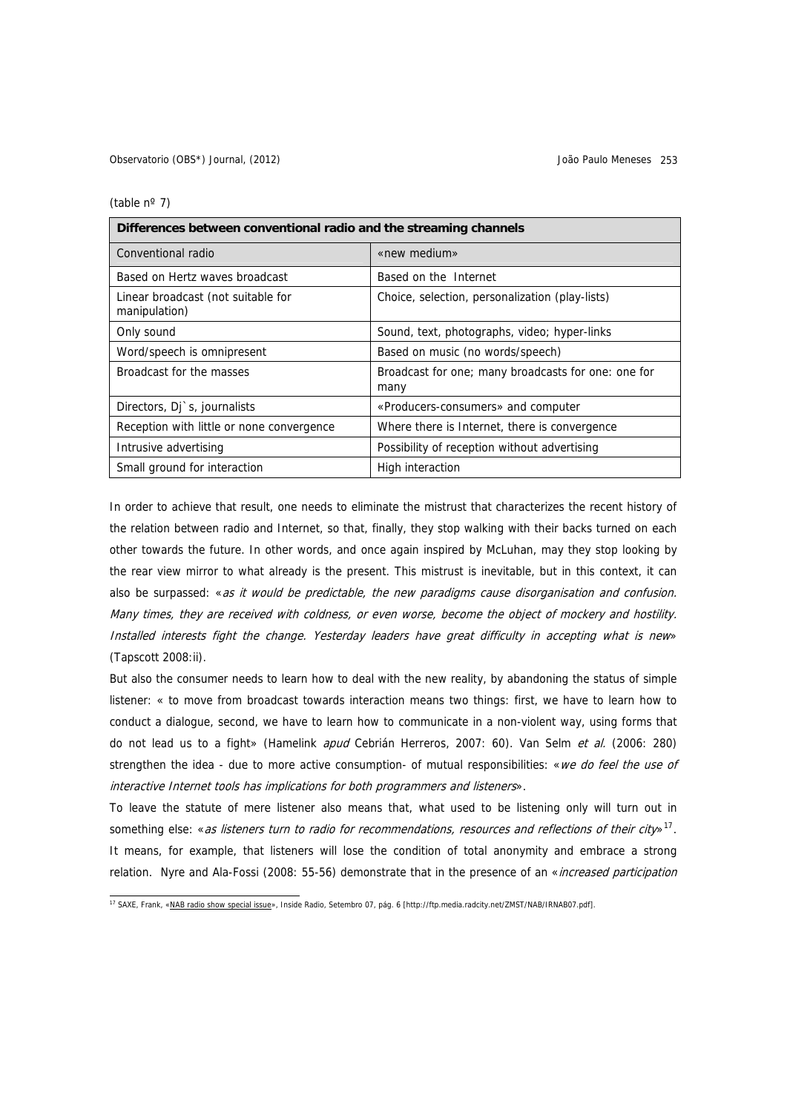Observatorio (OBS\*) Journal, (2012) João Paulo Meneses 253

(table nº 7)

| Differences between conventional radio and the streaming channels |                                                             |  |
|-------------------------------------------------------------------|-------------------------------------------------------------|--|
| Conventional radio                                                | «new medium»                                                |  |
| Based on Hertz waves broadcast                                    | Based on the Internet                                       |  |
| Linear broadcast (not suitable for<br>manipulation)               | Choice, selection, personalization (play-lists)             |  |
| Only sound                                                        | Sound, text, photographs, video; hyper-links                |  |
| Word/speech is omnipresent                                        | Based on music (no words/speech)                            |  |
| Broadcast for the masses                                          | Broadcast for one; many broadcasts for one: one for<br>many |  |
| Directors, Dj`s, journalists                                      | «Producers-consumers» and computer                          |  |
| Reception with little or none convergence                         | Where there is Internet, there is convergence               |  |
| Intrusive advertising                                             | Possibility of reception without advertising                |  |
| Small ground for interaction                                      | High interaction                                            |  |

In order to achieve that result, one needs to eliminate the mistrust that characterizes the recent history of the relation between radio and Internet, so that, finally, they stop walking with their backs turned on each other towards the future. In other words, and once again inspired by McLuhan, may they stop looking by the rear view mirror to what already is the present. This mistrust is inevitable, but in this context, it can also be surpassed: «as it would be predictable, the new paradigms cause disorganisation and confusion. Many times, they are received with coldness, or even worse, become the object of mockery and hostility. Installed interests fight the change. Yesterday leaders have great difficulty in accepting what is new» (Tapscott 2008:ii).

But also the consumer needs to learn how to deal with the new reality, by abandoning the status of simple listener: « to move from broadcast towards interaction means two things: first, we have to learn how to conduct a dialogue, second, we have to learn how to communicate in a non-violent way, using forms that do not lead us to a fight» (Hamelink *apud* Cebrián Herreros, 2007: 60). Van Selm et al. (2006: 280) strengthen the idea - due to more active consumption- of mutual responsibilities: «we do feel the use of interactive Internet tools has implications for both programmers and listeners».

To leave the statute of mere listener also means that, what used to be listening only will turn out in something else: «as listeners turn to radio for recommendations, resources and reflections of their city»<sup>[17](#page-18-0)</sup>. It means, for example, that listeners will lose the condition of total anonymity and embrace a strong relation. Nyre and Ala-Fossi (2008: 55-56) demonstrate that in the presence of an «increased participation

<span id="page-18-0"></span><sup>&</sup>lt;sup>17</sup> SAXE, Frank, «[NAB radio show special issue](http://ftp.media.radcity.net/ZMST/NAB/IRNAB07.pdf)», Inside Radio, Setembro 07, pág. 6 [http://ftp.media.radcity.net/ZMST/NAB/IRNAB07.pdf].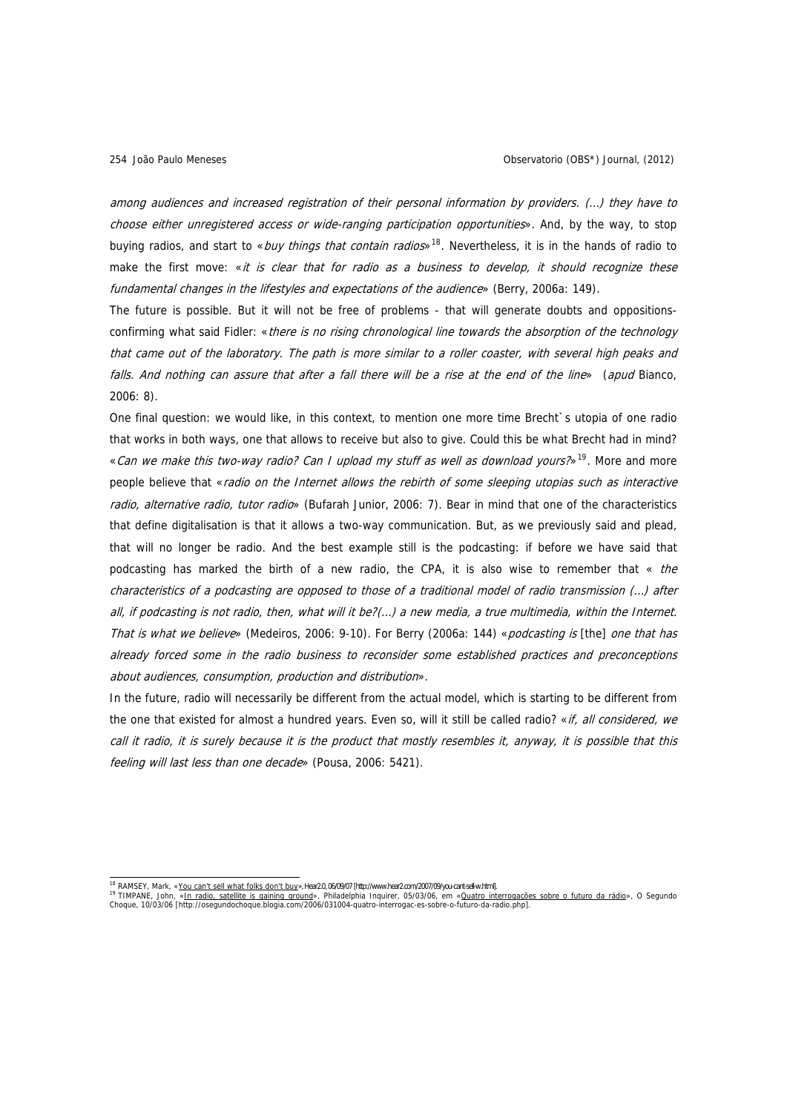among audiences and increased registration of their personal information by providers. (…) they have to choose either unregistered access or wide-ranging participation opportunities». And, by the way, to stop buying radios, and start to «*buy things that contain radios*»<sup>[18](#page-19-0)</sup>. Nevertheless, it is in the hands of radio to make the first move: «it is clear that for radio as a business to develop, it should recognize these fundamental changes in the lifestyles and expectations of the audience» (Berry, 2006a: 149).

The future is possible. But it will not be free of problems - that will generate doubts and oppositionsconfirming what said Fidler: «there is no rising chronological line towards the absorption of the technology that came out of the laboratory. The path is more similar to a roller coaster, with several high peaks and falls. And nothing can assure that after a fall there will be a rise at the end of the line» (apud Bianco, 2006: 8).

One final question: we would like, in this context, to mention one more time Brecht`s utopia of one radio that works in both ways, one that allows to receive but also to give. Could this be what Brecht had in mind? «Can we make this two-way radio? Can I upload my stuff as well as download yours?»<sup>[19](#page-19-1)</sup>. More and more people believe that «radio on the Internet allows the rebirth of some sleeping utopias such as interactive radio, alternative radio, tutor radio» (Bufarah Junior, 2006: 7). Bear in mind that one of the characteristics that define digitalisation is that it allows a two-way communication. But, as we previously said and plead, that will no longer be radio. And the best example still is the podcasting: if before we have said that podcasting has marked the birth of a new radio, the CPA, it is also wise to remember that  $\kappa$  the characteristics of a podcasting are opposed to those of a traditional model of radio transmission (…) after all, if podcasting is not radio, then, what will it be?(…) a new media, a true multimedia, within the Internet. That is what we believe» (Medeiros, 2006: 9-10). For Berry (2006a: 144) «podcasting is [the] one that has already forced some in the radio business to reconsider some established practices and preconceptions about audiences, consumption, production and distribution».

In the future, radio will necessarily be different from the actual model, which is starting to be different from the one that existed for almost a hundred years. Even so, will it still be called radio? «if, all considered, we call it radio, it is surely because it is the product that mostly resembles it, anyway, it is possible that this feeling will last less than one decade» (Pousa, 2006: 5421).

i,

<span id="page-19-1"></span><span id="page-19-0"></span><sup>&</sup>lt;sup>18</sup> RAMSEY, Mark, «<u>You can't sell what folks don't bu</u>y»,Hæ20,06/09/07[http://www.hea2.com/2007/09/you-cant-sel-w.html].<br><sup>19</sup> TIMPANE, John, «<u>In radio, satellite is gaining ground</u>», Philadelphia Inquirer, 05/03/06, em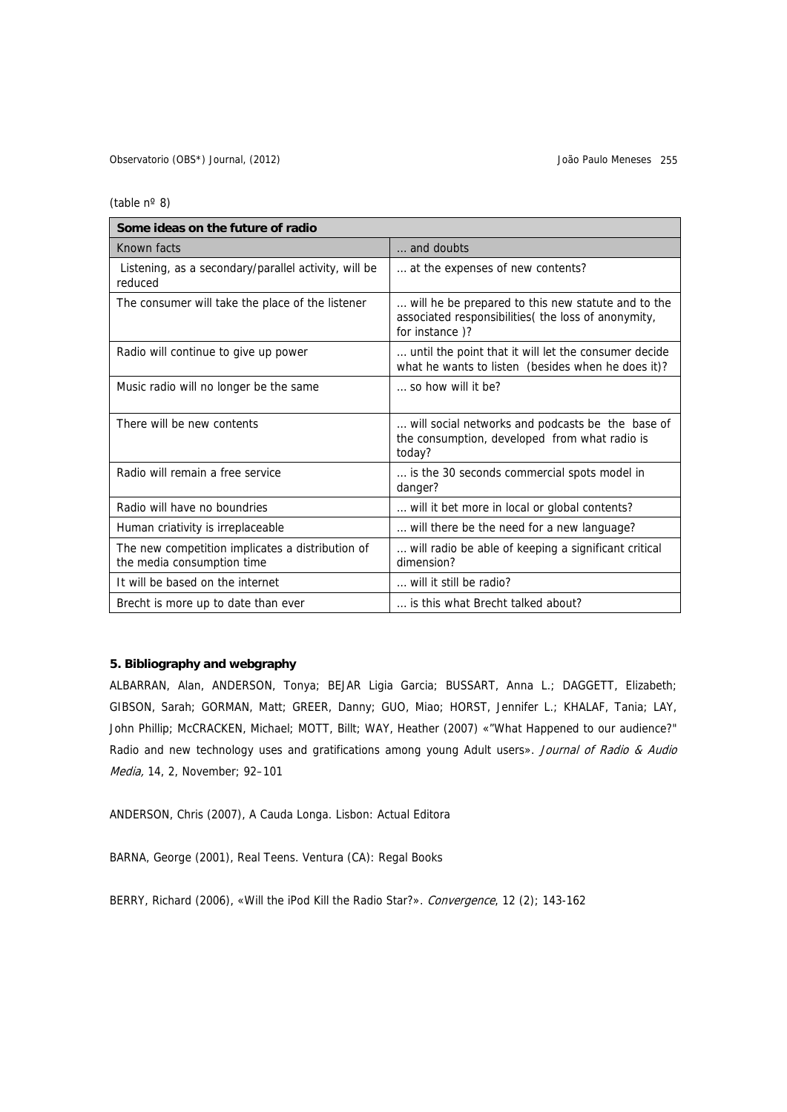(table nº 8)

| Some ideas on the future of radio                                              |                                                                                                                              |  |
|--------------------------------------------------------------------------------|------------------------------------------------------------------------------------------------------------------------------|--|
| Known facts                                                                    | and doubts                                                                                                                   |  |
| Listening, as a secondary/parallel activity, will be<br>reduced                | at the expenses of new contents?                                                                                             |  |
| The consumer will take the place of the listener                               | will he be prepared to this new statute and to the<br>associated responsibilities( the loss of anonymity,<br>for instance )? |  |
| Radio will continue to give up power                                           | until the point that it will let the consumer decide<br>what he wants to listen (besides when he does it)?                   |  |
| Music radio will no longer be the same                                         | $\ldots$ so how will it be?                                                                                                  |  |
| There will be new contents                                                     | will social networks and podcasts be the base of<br>the consumption, developed from what radio is<br>today?                  |  |
| Radio will remain a free service                                               | is the 30 seconds commercial spots model in<br>danger?                                                                       |  |
| Radio will have no boundries                                                   | will it bet more in local or global contents?                                                                                |  |
| Human criativity is irreplaceable                                              | will there be the need for a new language?                                                                                   |  |
| The new competition implicates a distribution of<br>the media consumption time | will radio be able of keeping a significant critical<br>dimension?                                                           |  |
| It will be based on the internet                                               | will it still be radio?                                                                                                      |  |
| Brecht is more up to date than ever                                            | is this what Brecht talked about?                                                                                            |  |

## **5. Bibliography and webgraphy**

ALBARRAN, Alan, ANDERSON, Tonya; BEJAR Ligia Garcia; BUSSART, Anna L.; DAGGETT, Elizabeth; GIBSON, Sarah; GORMAN, Matt; GREER, Danny; GUO, Miao; HORST, Jennifer L.; KHALAF, Tania; LAY, John Phillip; McCRACKEN, Michael; MOTT, Billt; WAY, Heather (2007) «"What Happened to our audience?" Radio and new technology uses and gratifications among young Adult users». Journal of Radio & Audio Media, 14, 2, November; 92–101

ANDERSON, Chris (2007), A Cauda Longa. Lisbon: Actual Editora

BARNA, George (2001), Real Teens. Ventura (CA): Regal Books

BERRY, Richard (2006), «Will the iPod Kill the Radio Star?». Convergence, 12 (2); 143-162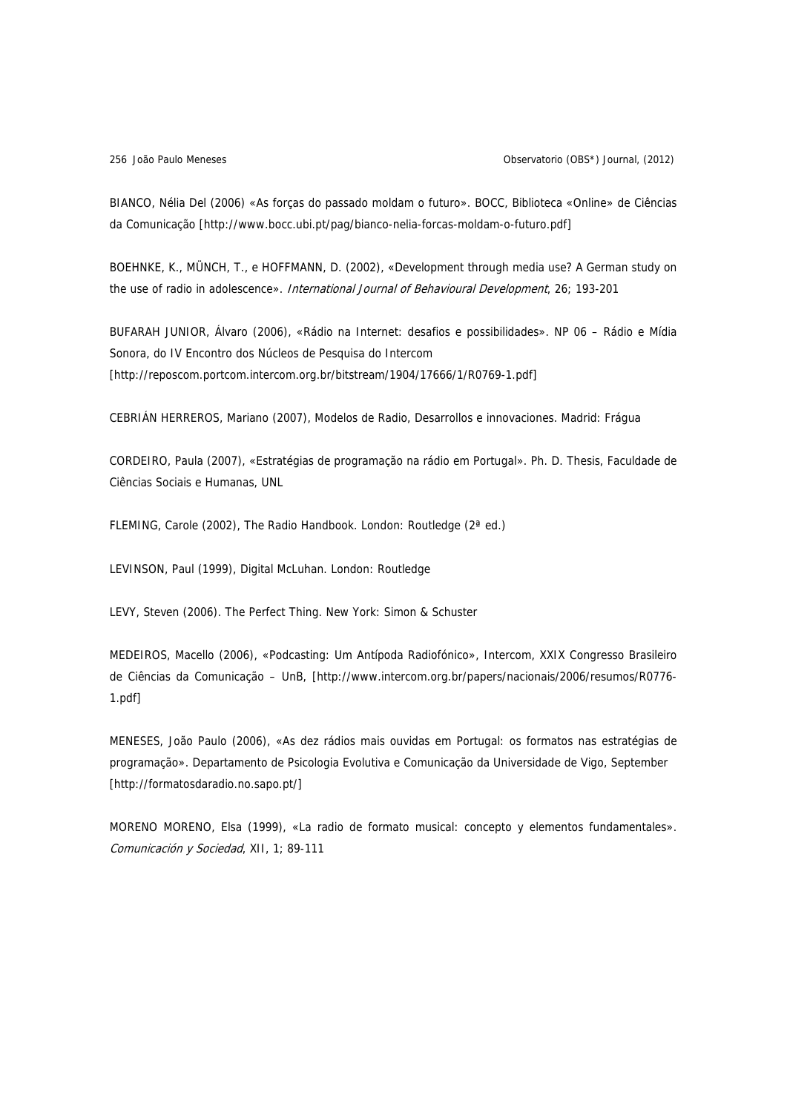BIANCO, Nélia Del (2006) «As forças do passado moldam o futuro». BOCC, Biblioteca «Online» de Ciências da Comunicação [http://www.bocc.ubi.pt/pag/bianco-nelia-forcas-moldam-o-futuro.pdf]

BOEHNKE, K., MÜNCH, T., e HOFFMANN, D. (2002), «Development through media use? A German study on the use of radio in adolescence». International Journal of Behavioural Development, 26; 193-201

BUFARAH JUNIOR, Álvaro (2006), «Rádio na Internet: desafios e possibilidades». NP 06 – Rádio e Mídia Sonora, do IV Encontro dos Núcleos de Pesquisa do Intercom [http://reposcom.portcom.intercom.org.br/bitstream/1904/17666/1/R0769-1.pdf]

CEBRIÁN HERREROS, Mariano (2007), Modelos de Radio, Desarrollos e innovaciones. Madrid: Frágua

CORDEIRO, Paula (2007), «Estratégias de programação na rádio em Portugal». Ph. D. Thesis, Faculdade de Ciências Sociais e Humanas, UNL

FLEMING, Carole (2002), The Radio Handbook. London: Routledge (2ª ed.)

LEVINSON, Paul (1999), Digital McLuhan. London: Routledge

LEVY, Steven (2006). The Perfect Thing. New York: Simon & Schuster

MEDEIROS, Macello (2006), «Podcasting: Um Antípoda Radiofónico», Intercom, XXIX Congresso Brasileiro de Ciências da Comunicação – UnB, [http://www.intercom.org.br/papers/nacionais/2006/resumos/R0776- 1.pdf]

MENESES, João Paulo (2006), «As dez rádios mais ouvidas em Portugal: os formatos nas estratégias de programação». Departamento de Psicologia Evolutiva e Comunicação da Universidade de Vigo, September [http://formatosdaradio.no.sapo.pt/]

MORENO MORENO, Elsa (1999), «La radio de formato musical: concepto y elementos fundamentales». Comunicación y Sociedad, XII, 1; 89-111